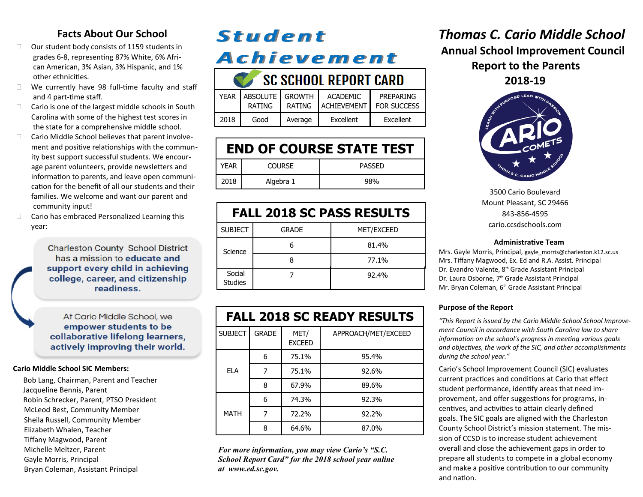### **Facts About Our School**

- $\Box$  Our student body consists of 1159 students in grades 6-8, representing 87% White, 6% Afri can American, 3% Asian, 3% Hispanic, and 1% other ethnicities.
- $\Box$  We currently have 98 full-time faculty and staff and 4 part-time staff.
- $\Box$  Cario is one of the largest middle schools in South Carolina with some of the highest test scores in the state for a comprehensive middle school.
- $\Box$  Cario Middle School believes that parent involve ment and positive relationships with the commun ity best support successful students. We encour age parent volunteers, provide newsletters and information to parents, and leave open communi cation for the benefit of all our students and their families. We welcome and want our parent and community input!
- $\Box$  Cario has embraced Personalized Learning this year:

**Charleston County School District** has a mission to educate and support every child in achieving college, career, and citizenship readiness.

At Cario Middle School, we empower students to be collaborative lifelong learners, actively improving their world.

### **Cario Middle School SIC Members:**

Bob Lang, Chairman, Parent and Teacher Jacqueline Bennis, Parent Robin Schrecker, Parent, PTSO President McLeod Best, Community Member Sheila Russell, Community Member Elizabeth Whalen, Teacher Tiffany Magwood, Parent Michelle Meltzer, Parent Gayle Morris, Principal Bryan Coleman, Assistant Principal

## **Student Achievement CONTROL CONTRACT CAPE**

| OL OLNUUL KEPUKI LAKU |                           |                         |                                |                                 |  |
|-----------------------|---------------------------|-------------------------|--------------------------------|---------------------------------|--|
| <b>YFAR</b>           | ABSOLUTE<br><b>RATING</b> | <b>GROWTH</b><br>RATING | ACADEMIC<br><b>ACHIEVEMENT</b> | PREPARING<br><b>FOR SUCCESS</b> |  |
| 2018                  | Good                      | Average                 | Excellent                      | Excellent                       |  |

| <b>END OF COURSE STATE TEST</b> |               |               |  |  |  |
|---------------------------------|---------------|---------------|--|--|--|
| YFAR                            | <b>COURSE</b> | <b>PASSED</b> |  |  |  |
| 2018                            | Algebra 1     | 98%           |  |  |  |

| <b>FALL 2018 SC PASS RESULTS</b> |              |            |  |  |  |
|----------------------------------|--------------|------------|--|--|--|
| <b>SUBJECT</b>                   | <b>GRADE</b> | MET/EXCEED |  |  |  |
| Science                          |              | 81.4%      |  |  |  |
|                                  |              | 77.1%      |  |  |  |
| Social<br><b>Studies</b>         |              | 92.4%      |  |  |  |

| <b>FALL 2018 SC READY RESULTS</b> |              |                       |                     |  |  |
|-----------------------------------|--------------|-----------------------|---------------------|--|--|
| <b>SUBJECT</b>                    | <b>GRADE</b> | MET/<br><b>EXCEED</b> | APPROACH/MET/EXCEED |  |  |
| FI A                              | 6            | 75.1%                 | 95.4%               |  |  |
|                                   | 7            | 75.1%                 | 92.6%               |  |  |
|                                   | 8            | 67.9%                 | 89.6%               |  |  |
| <b>MATH</b>                       | 6            | 74.3%                 | 92.3%               |  |  |
|                                   | 7            | 72.2%                 | 92.2%               |  |  |
|                                   | 8            | 64.6%                 | 87.0%               |  |  |

*For more information, you may view Cario's "S.C. School Report Card" for the 2018 school year online at [www.ed.sc.gov.](http://../Local%20Settings/Temp/XPgrpwise/www.ed.sc.gov)*

## *Thomas C. Cario Middle School* **Annual School Improvement Council Report to the Parents 2018-19**



3500 Cario Boulevard Mount Pleasant, SC 29466 843-856-4595 cario.ccsdschools.com

#### **Administrative Team**

Mrs. Gayle Morris, Principal, gayle\_morris@charleston.k12.sc.us Mrs. Tiffany Magwood, Ex. Ed and R.A. Assist. Principal Dr. Evandro Valente, 8<sup>th</sup> Grade Assistant Principal Dr. Laura Osborne, 7<sup>th</sup> Grade Assistant Principal Mr. Bryan Coleman, 6<sup>th</sup> Grade Assistant Principal

### **Purpose of the Report**

*"This Report is issued by the Cario Middle School School Improvement Council in accordance with South Carolina law to share information on the school's progress in meeting various goals and objectives, the work of the SIC, and other accomplishments during the school year."*

Cario's School Improvement Council (SIC) evaluates current practices and conditions at Cario that effect student performance, identify areas that need improvement, and offer suggestions for programs, incentives, and activities to attain clearly defined goals. The SIC goals are aligned with the Charleston County School District's mission statement. The mission of CCSD is to increase student achievement overall and close the achievement gaps in order to prepare all students to compete in a global economy and make a positive contribution to our community and nation.